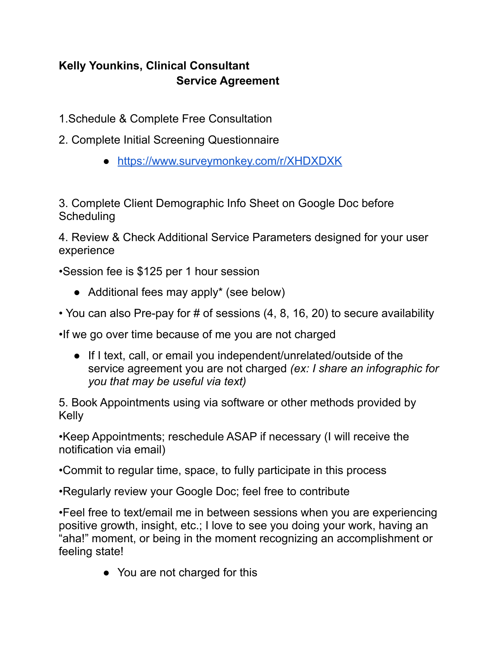# **Kelly Younkins, Clinical Consultant Service Agreement**

- 1.Schedule & Complete Free Consultation
- 2. Complete Initial Screening Questionnaire
	- <https://www.surveymonkey.com/r/XHDXDXK>

3. Complete Client Demographic Info Sheet on Google Doc before **Scheduling** 

4. Review & Check Additional Service Parameters designed for your user experience

•Session fee is \$125 per 1 hour session

- Additional fees may apply\* (see below)
- You can also Pre-pay for # of sessions (4, 8, 16, 20) to secure availability

•If we go over time because of me you are not charged

● If I text, call, or email you independent/unrelated/outside of the service agreement you are not charged *(ex: I share an infographic for you that may be useful via text)*

5. Book Appointments using via software or other methods provided by Kelly

•Keep Appointments; reschedule ASAP if necessary (I will receive the notification via email)

•Commit to regular time, space, to fully participate in this process

•Regularly review your Google Doc; feel free to contribute

•Feel free to text/email me in between sessions when you are experiencing positive growth, insight, etc.; I love to see you doing your work, having an "aha!" moment, or being in the moment recognizing an accomplishment or feeling state!

• You are not charged for this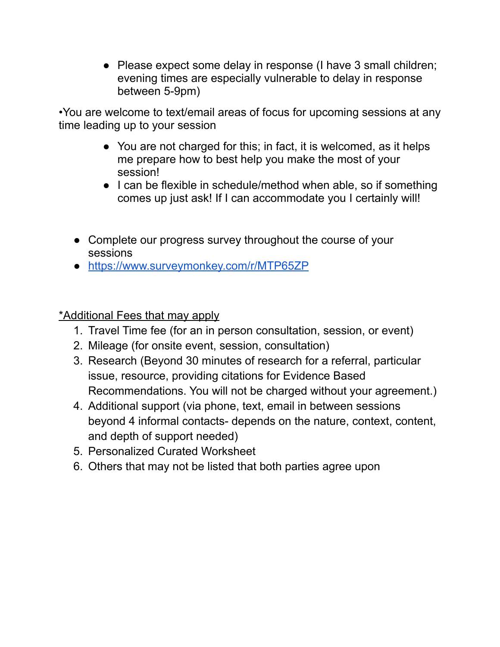• Please expect some delay in response (I have 3 small children; evening times are especially vulnerable to delay in response between 5-9pm)

•You are welcome to text/email areas of focus for upcoming sessions at any time leading up to your session

- You are not charged for this; in fact, it is welcomed, as it helps me prepare how to best help you make the most of your session!
- I can be flexible in schedule/method when able, so if something comes up just ask! If I can accommodate you I certainly will!
- Complete our progress survey throughout the course of your sessions
- <https://www.surveymonkey.com/r/MTP65ZP>

\*Additional Fees that may apply

- 1. Travel Time fee (for an in person consultation, session, or event)
- 2. Mileage (for onsite event, session, consultation)
- 3. Research (Beyond 30 minutes of research for a referral, particular issue, resource, providing citations for Evidence Based Recommendations. You will not be charged without your agreement.)
- 4. Additional support (via phone, text, email in between sessions beyond 4 informal contacts- depends on the nature, context, content, and depth of support needed)
- 5. Personalized Curated Worksheet
- 6. Others that may not be listed that both parties agree upon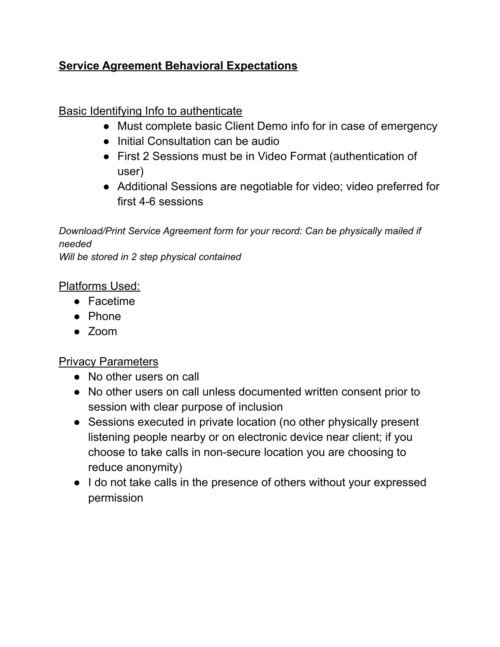### **Service Agreement Behavioral Expectations**

## Basic Identifying Info to authenticate

- Must complete basic Client Demo info for in case of emergency
- Initial Consultation can be audio
- First 2 Sessions must be in Video Format (authentication of user)
- Additional Sessions are negotiable for video; video preferred for first 4-6 sessions

*Download/Print Service Agreement form for your record: Can be physically mailed if needed Will be stored in 2 step physical contained*

#### Platforms Used:

- Facetime
- Phone
- Zoom

### Privacy Parameters

- No other users on call
- No other users on call unless documented written consent prior to session with clear purpose of inclusion
- Sessions executed in private location (no other physically present listening people nearby or on electronic device near client; if you choose to take calls in non-secure location you are choosing to reduce anonymity)
- I do not take calls in the presence of others without your expressed permission